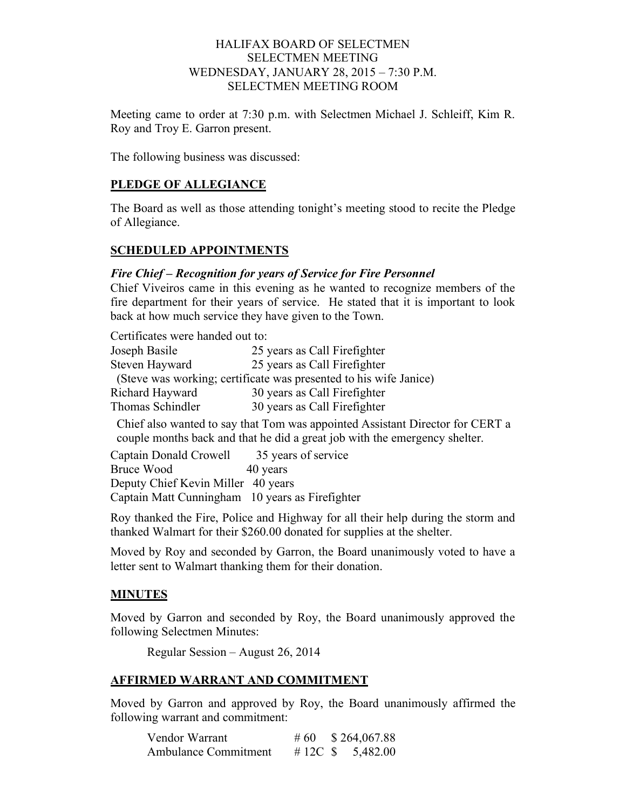### HALIFAX BOARD OF SELECTMEN SELECTMEN MEETING WEDNESDAY, JANUARY 28, 2015 – 7:30 P.M. SELECTMEN MEETING ROOM

Meeting came to order at 7:30 p.m. with Selectmen Michael J. Schleiff, Kim R. Roy and Troy E. Garron present.

The following business was discussed:

### **PLEDGE OF ALLEGIANCE**

The Board as well as those attending tonight's meeting stood to recite the Pledge of Allegiance.

#### **SCHEDULED APPOINTMENTS**

#### *Fire Chief – Recognition for years of Service for Fire Personnel*

Chief Viveiros came in this evening as he wanted to recognize members of the fire department for their years of service. He stated that it is important to look back at how much service they have given to the Town.

Certificates were handed out to:<br>Losenh Basile  $25$  years as Call Firefighter

| JOSEPH DASHE     | $\Delta J$ years as Call Fileliginer                              |
|------------------|-------------------------------------------------------------------|
| Steven Hayward   | 25 years as Call Firefighter                                      |
|                  | (Steve was working; certificate was presented to his wife Janice) |
| Richard Hayward  | 30 years as Call Firefighter                                      |
| Thomas Schindler | 30 years as Call Firefighter                                      |

 Chief also wanted to say that Tom was appointed Assistant Director for CERT a couple months back and that he did a great job with the emergency shelter.

Captain Donald Crowell 35 years of service Bruce Wood 40 years Deputy Chief Kevin Miller 40 years Captain Matt Cunningham 10 years as Firefighter

Roy thanked the Fire, Police and Highway for all their help during the storm and thanked Walmart for their \$260.00 donated for supplies at the shelter.

Moved by Roy and seconded by Garron, the Board unanimously voted to have a letter sent to Walmart thanking them for their donation.

### **MINUTES**

Moved by Garron and seconded by Roy, the Board unanimously approved the following Selectmen Minutes:

Regular Session – August 26, 2014

#### **AFFIRMED WARRANT AND COMMITMENT**

Moved by Garron and approved by Roy, the Board unanimously affirmed the following warrant and commitment:

| Vendor Warrant              | # 60    | \$264,067.88 |
|-----------------------------|---------|--------------|
| <b>Ambulance Commitment</b> | # 12C S | 5,482.00     |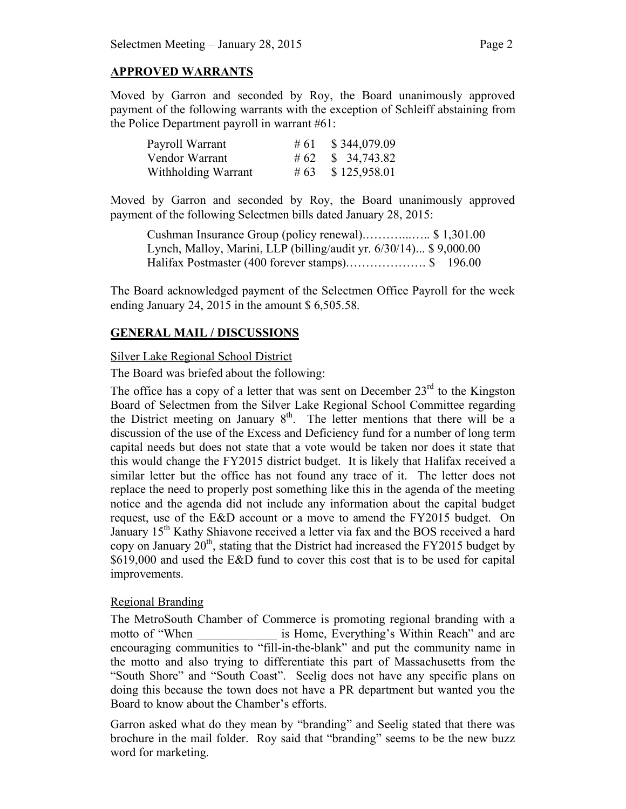# **APPROVED WARRANTS**

Moved by Garron and seconded by Roy, the Board unanimously approved payment of the following warrants with the exception of Schleiff abstaining from the Police Department payroll in warrant #61:

| Payroll Warrant     | # 61 | \$344,079.09 |
|---------------------|------|--------------|
| Vendor Warrant      |      |              |
| Withholding Warrant | #63  | \$125,958.01 |

Moved by Garron and seconded by Roy, the Board unanimously approved payment of the following Selectmen bills dated January 28, 2015:

Cushman Insurance Group (policy renewal).………...….. \$ 1,301.00 Lynch, Malloy, Marini, LLP (billing/audit yr. 6/30/14)... \$ 9,000.00 Halifax Postmaster (400 forever stamps).………………. \$ 196.00

The Board acknowledged payment of the Selectmen Office Payroll for the week ending January 24, 2015 in the amount \$ 6,505.58.

### **GENERAL MAIL / DISCUSSIONS**

### Silver Lake Regional School District

The Board was briefed about the following:

The office has a copy of a letter that was sent on December  $23<sup>rd</sup>$  to the Kingston Board of Selectmen from the Silver Lake Regional School Committee regarding the District meeting on January  $8<sup>th</sup>$ . The letter mentions that there will be a discussion of the use of the Excess and Deficiency fund for a number of long term capital needs but does not state that a vote would be taken nor does it state that this would change the FY2015 district budget. It is likely that Halifax received a similar letter but the office has not found any trace of it. The letter does not replace the need to properly post something like this in the agenda of the meeting notice and the agenda did not include any information about the capital budget request, use of the E&D account or a move to amend the FY2015 budget. On January 15<sup>th</sup> Kathy Shiavone received a letter via fax and the BOS received a hard copy on January  $20<sup>th</sup>$ , stating that the District had increased the FY2015 budget by \$619,000 and used the E&D fund to cover this cost that is to be used for capital improvements.

### Regional Branding

The MetroSouth Chamber of Commerce is promoting regional branding with a motto of "When is Home, Everything's Within Reach" and are encouraging communities to "fill-in-the-blank" and put the community name in the motto and also trying to differentiate this part of Massachusetts from the "South Shore" and "South Coast". Seelig does not have any specific plans on doing this because the town does not have a PR department but wanted you the Board to know about the Chamber's efforts.

Garron asked what do they mean by "branding" and Seelig stated that there was brochure in the mail folder. Roy said that "branding" seems to be the new buzz word for marketing.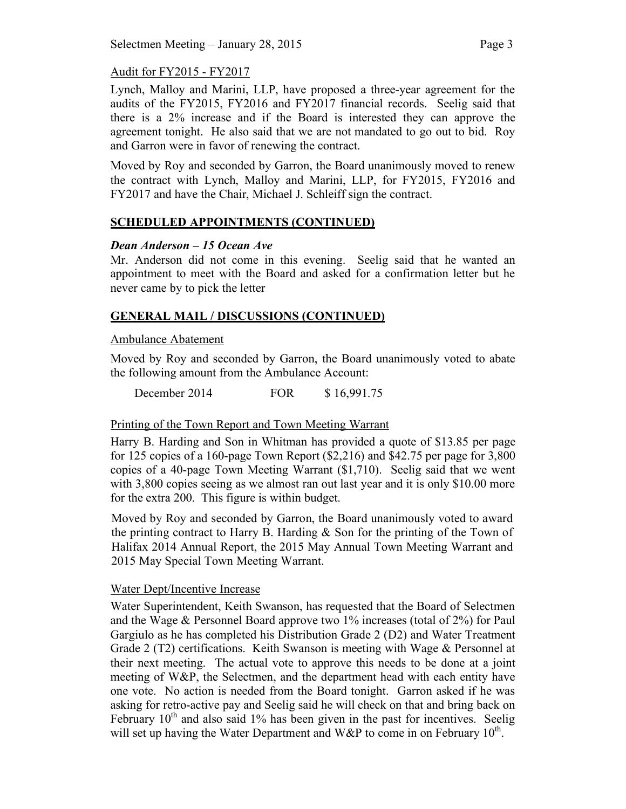# Audit for FY2015 - FY2017

Lynch, Malloy and Marini, LLP, have proposed a three-year agreement for the audits of the FY2015, FY2016 and FY2017 financial records. Seelig said that there is a 2% increase and if the Board is interested they can approve the agreement tonight. He also said that we are not mandated to go out to bid. Roy and Garron were in favor of renewing the contract.

Moved by Roy and seconded by Garron, the Board unanimously moved to renew the contract with Lynch, Malloy and Marini, LLP, for FY2015, FY2016 and FY2017 and have the Chair, Michael J. Schleiff sign the contract.

# **SCHEDULED APPOINTMENTS (CONTINUED)**

### *Dean Anderson – 15 Ocean Ave*

Mr. Anderson did not come in this evening. Seelig said that he wanted an appointment to meet with the Board and asked for a confirmation letter but he never came by to pick the letter

# **GENERAL MAIL / DISCUSSIONS (CONTINUED)**

### Ambulance Abatement

Moved by Roy and seconded by Garron, the Board unanimously voted to abate the following amount from the Ambulance Account:

December 2014 FOR \$ 16,991.75

# Printing of the Town Report and Town Meeting Warrant

Harry B. Harding and Son in Whitman has provided a quote of \$13.85 per page for 125 copies of a 160-page Town Report (\$2,216) and \$42.75 per page for 3,800 copies of a 40-page Town Meeting Warrant (\$1,710). Seelig said that we went with 3,800 copies seeing as we almost ran out last year and it is only \$10.00 more for the extra 200. This figure is within budget.

Moved by Roy and seconded by Garron, the Board unanimously voted to award the printing contract to Harry B. Harding & Son for the printing of the Town of Halifax 2014 Annual Report, the 2015 May Annual Town Meeting Warrant and 2015 May Special Town Meeting Warrant.

### Water Dept/Incentive Increase

Water Superintendent, Keith Swanson, has requested that the Board of Selectmen and the Wage & Personnel Board approve two 1% increases (total of 2%) for Paul Gargiulo as he has completed his Distribution Grade 2 (D2) and Water Treatment Grade 2 (T2) certifications. Keith Swanson is meeting with Wage & Personnel at their next meeting. The actual vote to approve this needs to be done at a joint meeting of W&P, the Selectmen, and the department head with each entity have one vote. No action is needed from the Board tonight. Garron asked if he was asking for retro-active pay and Seelig said he will check on that and bring back on February  $10<sup>th</sup>$  and also said 1% has been given in the past for incentives. Seelig will set up having the Water Department and W&P to come in on February  $10^{th}$ .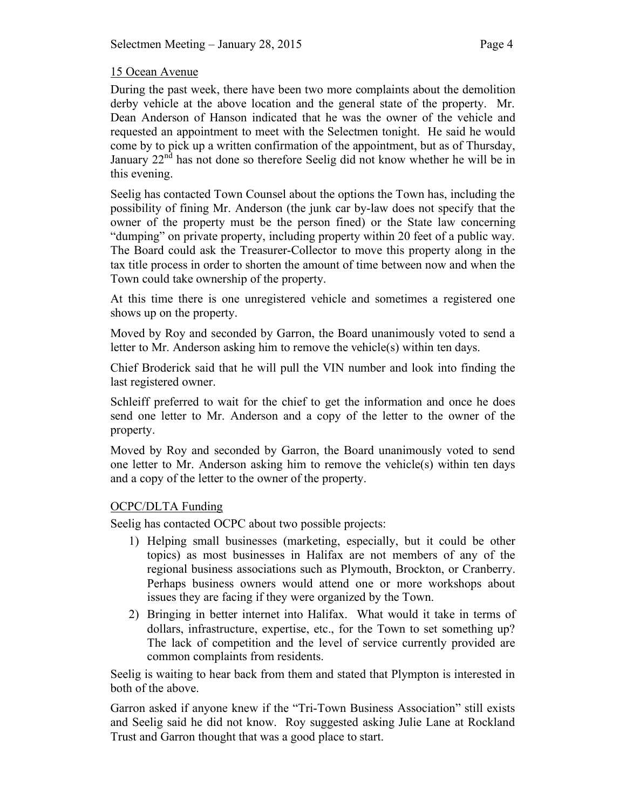### 15 Ocean Avenue

During the past week, there have been two more complaints about the demolition derby vehicle at the above location and the general state of the property. Mr. Dean Anderson of Hanson indicated that he was the owner of the vehicle and requested an appointment to meet with the Selectmen tonight. He said he would come by to pick up a written confirmation of the appointment, but as of Thursday, January 22<sup>nd</sup> has not done so therefore Seelig did not know whether he will be in this evening.

Seelig has contacted Town Counsel about the options the Town has, including the possibility of fining Mr. Anderson (the junk car by-law does not specify that the owner of the property must be the person fined) or the State law concerning "dumping" on private property, including property within 20 feet of a public way. The Board could ask the Treasurer-Collector to move this property along in the tax title process in order to shorten the amount of time between now and when the Town could take ownership of the property.

At this time there is one unregistered vehicle and sometimes a registered one shows up on the property.

Moved by Roy and seconded by Garron, the Board unanimously voted to send a letter to Mr. Anderson asking him to remove the vehicle(s) within ten days.

Chief Broderick said that he will pull the VIN number and look into finding the last registered owner.

Schleiff preferred to wait for the chief to get the information and once he does send one letter to Mr. Anderson and a copy of the letter to the owner of the property.

Moved by Roy and seconded by Garron, the Board unanimously voted to send one letter to Mr. Anderson asking him to remove the vehicle(s) within ten days and a copy of the letter to the owner of the property.

# OCPC/DLTA Funding

Seelig has contacted OCPC about two possible projects:

- 1) Helping small businesses (marketing, especially, but it could be other topics) as most businesses in Halifax are not members of any of the regional business associations such as Plymouth, Brockton, or Cranberry. Perhaps business owners would attend one or more workshops about issues they are facing if they were organized by the Town.
- 2) Bringing in better internet into Halifax. What would it take in terms of dollars, infrastructure, expertise, etc., for the Town to set something up? The lack of competition and the level of service currently provided are common complaints from residents.

Seelig is waiting to hear back from them and stated that Plympton is interested in both of the above.

Garron asked if anyone knew if the "Tri-Town Business Association" still exists and Seelig said he did not know. Roy suggested asking Julie Lane at Rockland Trust and Garron thought that was a good place to start.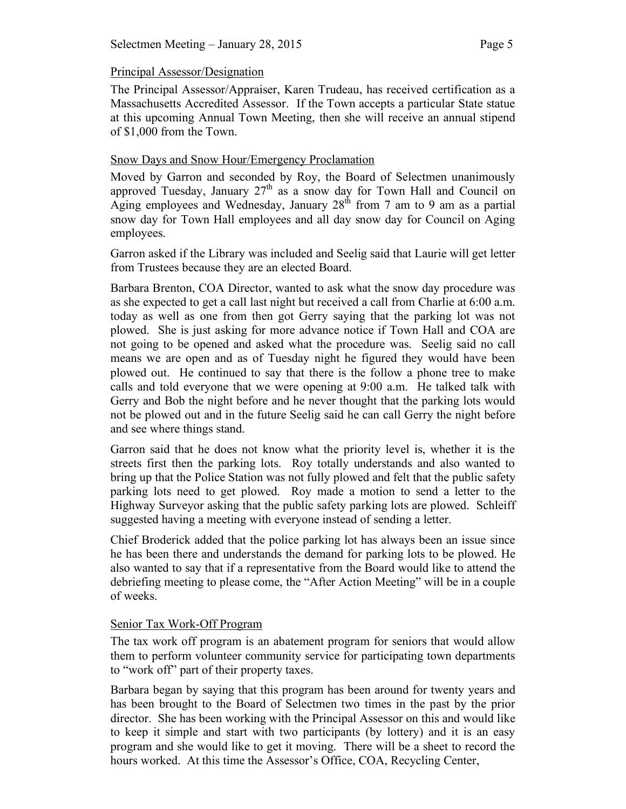### Principal Assessor/Designation

The Principal Assessor/Appraiser, Karen Trudeau, has received certification as a Massachusetts Accredited Assessor. If the Town accepts a particular State statue at this upcoming Annual Town Meeting, then she will receive an annual stipend of \$1,000 from the Town.

### Snow Days and Snow Hour/Emergency Proclamation

Moved by Garron and seconded by Roy, the Board of Selectmen unanimously approved Tuesday, January  $27<sup>th</sup>$  as a snow day for Town Hall and Council on Aging employees and Wednesday, January  $28<sup>th</sup>$  from 7 am to 9 am as a partial snow day for Town Hall employees and all day snow day for Council on Aging employees.

Garron asked if the Library was included and Seelig said that Laurie will get letter from Trustees because they are an elected Board.

Barbara Brenton, COA Director, wanted to ask what the snow day procedure was as she expected to get a call last night but received a call from Charlie at 6:00 a.m. today as well as one from then got Gerry saying that the parking lot was not plowed. She is just asking for more advance notice if Town Hall and COA are not going to be opened and asked what the procedure was. Seelig said no call means we are open and as of Tuesday night he figured they would have been plowed out. He continued to say that there is the follow a phone tree to make calls and told everyone that we were opening at 9:00 a.m. He talked talk with Gerry and Bob the night before and he never thought that the parking lots would not be plowed out and in the future Seelig said he can call Gerry the night before and see where things stand.

Garron said that he does not know what the priority level is, whether it is the streets first then the parking lots. Roy totally understands and also wanted to bring up that the Police Station was not fully plowed and felt that the public safety parking lots need to get plowed. Roy made a motion to send a letter to the Highway Surveyor asking that the public safety parking lots are plowed. Schleiff suggested having a meeting with everyone instead of sending a letter.

Chief Broderick added that the police parking lot has always been an issue since he has been there and understands the demand for parking lots to be plowed. He also wanted to say that if a representative from the Board would like to attend the debriefing meeting to please come, the "After Action Meeting" will be in a couple of weeks.

### Senior Tax Work-Off Program

The tax work off program is an abatement program for seniors that would allow them to perform volunteer community service for participating town departments to "work off" part of their property taxes.

Barbara began by saying that this program has been around for twenty years and has been brought to the Board of Selectmen two times in the past by the prior director. She has been working with the Principal Assessor on this and would like to keep it simple and start with two participants (by lottery) and it is an easy program and she would like to get it moving. There will be a sheet to record the hours worked. At this time the Assessor's Office, COA, Recycling Center,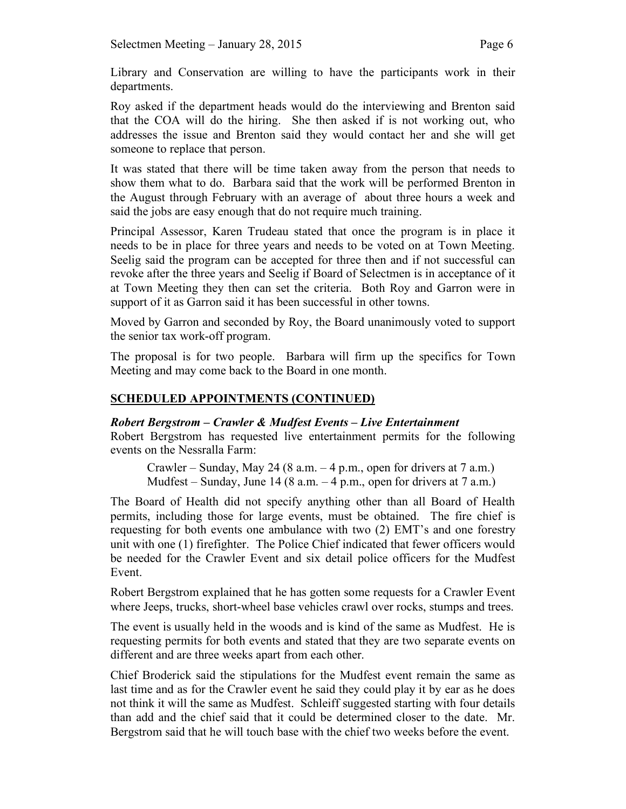Library and Conservation are willing to have the participants work in their departments.

Roy asked if the department heads would do the interviewing and Brenton said that the COA will do the hiring. She then asked if is not working out, who addresses the issue and Brenton said they would contact her and she will get someone to replace that person.

It was stated that there will be time taken away from the person that needs to show them what to do. Barbara said that the work will be performed Brenton in the August through February with an average of about three hours a week and said the jobs are easy enough that do not require much training.

Principal Assessor, Karen Trudeau stated that once the program is in place it needs to be in place for three years and needs to be voted on at Town Meeting. Seelig said the program can be accepted for three then and if not successful can revoke after the three years and Seelig if Board of Selectmen is in acceptance of it at Town Meeting they then can set the criteria. Both Roy and Garron were in support of it as Garron said it has been successful in other towns.

Moved by Garron and seconded by Roy, the Board unanimously voted to support the senior tax work-off program.

The proposal is for two people. Barbara will firm up the specifics for Town Meeting and may come back to the Board in one month.

### **SCHEDULED APPOINTMENTS (CONTINUED)**

### *Robert Bergstrom – Crawler & Mudfest Events – Live Entertainment*

Robert Bergstrom has requested live entertainment permits for the following events on the Nessralla Farm:

Crawler – Sunday, May 24 (8 a.m.  $-4$  p.m., open for drivers at 7 a.m.) Mudfest – Sunday, June 14 (8 a.m.  $-4$  p.m., open for drivers at 7 a.m.)

The Board of Health did not specify anything other than all Board of Health permits, including those for large events, must be obtained. The fire chief is requesting for both events one ambulance with two (2) EMT's and one forestry unit with one (1) firefighter. The Police Chief indicated that fewer officers would be needed for the Crawler Event and six detail police officers for the Mudfest Event.

Robert Bergstrom explained that he has gotten some requests for a Crawler Event where Jeeps, trucks, short-wheel base vehicles crawl over rocks, stumps and trees.

The event is usually held in the woods and is kind of the same as Mudfest. He is requesting permits for both events and stated that they are two separate events on different and are three weeks apart from each other.

Chief Broderick said the stipulations for the Mudfest event remain the same as last time and as for the Crawler event he said they could play it by ear as he does not think it will the same as Mudfest. Schleiff suggested starting with four details than add and the chief said that it could be determined closer to the date. Mr. Bergstrom said that he will touch base with the chief two weeks before the event.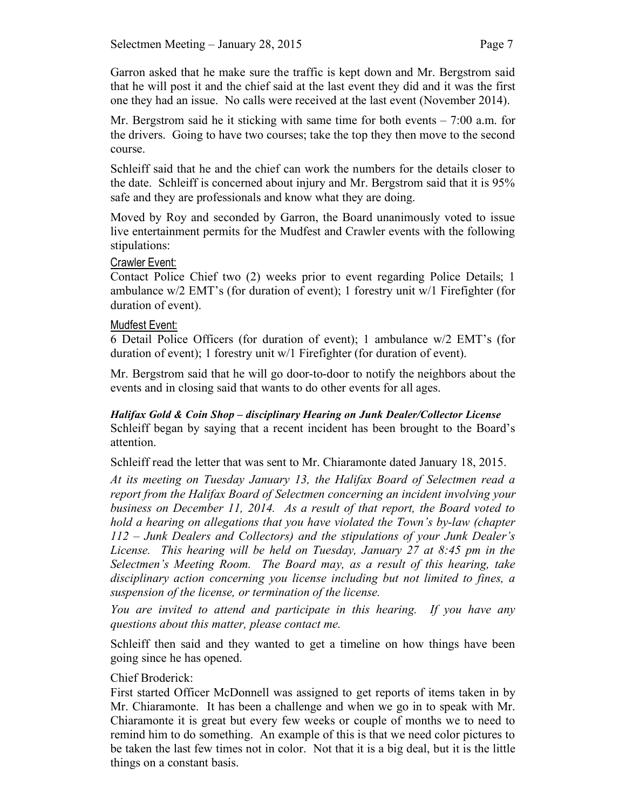Garron asked that he make sure the traffic is kept down and Mr. Bergstrom said that he will post it and the chief said at the last event they did and it was the first one they had an issue. No calls were received at the last event (November 2014).

Mr. Bergstrom said he it sticking with same time for both events – 7:00 a.m. for the drivers. Going to have two courses; take the top they then move to the second course.

Schleiff said that he and the chief can work the numbers for the details closer to the date. Schleiff is concerned about injury and Mr. Bergstrom said that it is 95% safe and they are professionals and know what they are doing.

Moved by Roy and seconded by Garron, the Board unanimously voted to issue live entertainment permits for the Mudfest and Crawler events with the following stipulations:

### Crawler Event:

Contact Police Chief two (2) weeks prior to event regarding Police Details; 1 ambulance w/2 EMT's (for duration of event); 1 forestry unit w/1 Firefighter (for duration of event).

### Mudfest Event:

6 Detail Police Officers (for duration of event); 1 ambulance w/2 EMT's (for duration of event); 1 forestry unit w/1 Firefighter (for duration of event).

Mr. Bergstrom said that he will go door-to-door to notify the neighbors about the events and in closing said that wants to do other events for all ages.

*Halifax Gold & Coin Shop – disciplinary Hearing on Junk Dealer/Collector License* Schleiff began by saying that a recent incident has been brought to the Board's attention.

Schleiff read the letter that was sent to Mr. Chiaramonte dated January 18, 2015.

*At its meeting on Tuesday January 13, the Halifax Board of Selectmen read a report from the Halifax Board of Selectmen concerning an incident involving your business on December 11, 2014. As a result of that report, the Board voted to hold a hearing on allegations that you have violated the Town's by-law (chapter 112 – Junk Dealers and Collectors) and the stipulations of your Junk Dealer's License. This hearing will be held on Tuesday, January 27 at 8:45 pm in the Selectmen's Meeting Room. The Board may, as a result of this hearing, take disciplinary action concerning you license including but not limited to fines, a suspension of the license, or termination of the license.*

*You are invited to attend and participate in this hearing. If you have any questions about this matter, please contact me.*

Schleiff then said and they wanted to get a timeline on how things have been going since he has opened.

### Chief Broderick:

First started Officer McDonnell was assigned to get reports of items taken in by Mr. Chiaramonte. It has been a challenge and when we go in to speak with Mr. Chiaramonte it is great but every few weeks or couple of months we to need to remind him to do something. An example of this is that we need color pictures to be taken the last few times not in color. Not that it is a big deal, but it is the little things on a constant basis.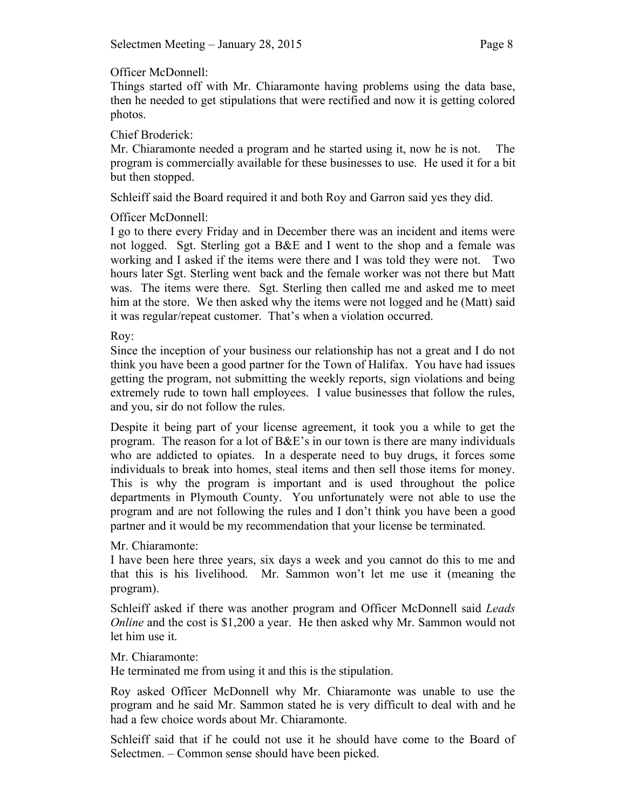# Officer McDonnell:

Things started off with Mr. Chiaramonte having problems using the data base, then he needed to get stipulations that were rectified and now it is getting colored photos.

### Chief Broderick:

Mr. Chiaramonte needed a program and he started using it, now he is not. The program is commercially available for these businesses to use. He used it for a bit but then stopped.

Schleiff said the Board required it and both Roy and Garron said yes they did.

# Officer McDonnell:

I go to there every Friday and in December there was an incident and items were not logged. Sgt. Sterling got a B&E and I went to the shop and a female was working and I asked if the items were there and I was told they were not. Two hours later Sgt. Sterling went back and the female worker was not there but Matt was. The items were there. Sgt. Sterling then called me and asked me to meet him at the store. We then asked why the items were not logged and he (Matt) said it was regular/repeat customer. That's when a violation occurred.

### Roy:

Since the inception of your business our relationship has not a great and I do not think you have been a good partner for the Town of Halifax. You have had issues getting the program, not submitting the weekly reports, sign violations and being extremely rude to town hall employees. I value businesses that follow the rules, and you, sir do not follow the rules.

Despite it being part of your license agreement, it took you a while to get the program. The reason for a lot of  $B\&E$ 's in our town is there are many individuals who are addicted to opiates. In a desperate need to buy drugs, it forces some individuals to break into homes, steal items and then sell those items for money. This is why the program is important and is used throughout the police departments in Plymouth County. You unfortunately were not able to use the program and are not following the rules and I don't think you have been a good partner and it would be my recommendation that your license be terminated.

# Mr. Chiaramonte:

I have been here three years, six days a week and you cannot do this to me and that this is his livelihood. Mr. Sammon won't let me use it (meaning the program).

Schleiff asked if there was another program and Officer McDonnell said *Leads Online* and the cost is \$1,200 a year. He then asked why Mr. Sammon would not let him use it.

# Mr. Chiaramonte:

He terminated me from using it and this is the stipulation.

Roy asked Officer McDonnell why Mr. Chiaramonte was unable to use the program and he said Mr. Sammon stated he is very difficult to deal with and he had a few choice words about Mr. Chiaramonte.

Schleiff said that if he could not use it he should have come to the Board of Selectmen. – Common sense should have been picked.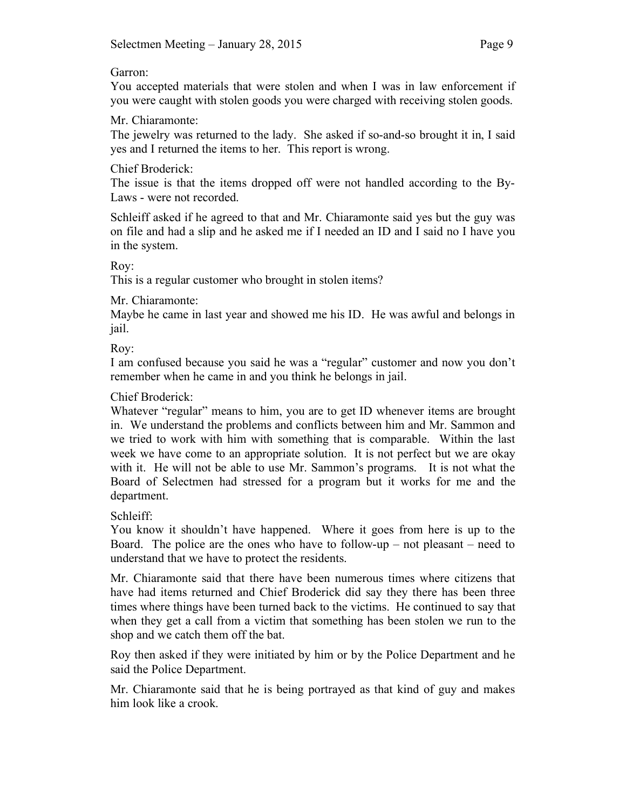### Garron:

You accepted materials that were stolen and when I was in law enforcement if you were caught with stolen goods you were charged with receiving stolen goods.

# Mr. Chiaramonte:

The jewelry was returned to the lady. She asked if so-and-so brought it in, I said yes and I returned the items to her. This report is wrong.

# Chief Broderick:

The issue is that the items dropped off were not handled according to the By-Laws - were not recorded.

Schleiff asked if he agreed to that and Mr. Chiaramonte said yes but the guy was on file and had a slip and he asked me if I needed an ID and I said no I have you in the system.

Roy:

This is a regular customer who brought in stolen items?

Mr. Chiaramonte:

Maybe he came in last year and showed me his ID. He was awful and belongs in jail.

Roy:

I am confused because you said he was a "regular" customer and now you don't remember when he came in and you think he belongs in jail.

# Chief Broderick:

Whatever "regular" means to him, you are to get ID whenever items are brought in. We understand the problems and conflicts between him and Mr. Sammon and we tried to work with him with something that is comparable. Within the last week we have come to an appropriate solution. It is not perfect but we are okay with it. He will not be able to use Mr. Sammon's programs. It is not what the Board of Selectmen had stressed for a program but it works for me and the department.

Schleiff:

You know it shouldn't have happened. Where it goes from here is up to the Board. The police are the ones who have to follow-up – not pleasant – need to understand that we have to protect the residents.

Mr. Chiaramonte said that there have been numerous times where citizens that have had items returned and Chief Broderick did say they there has been three times where things have been turned back to the victims. He continued to say that when they get a call from a victim that something has been stolen we run to the shop and we catch them off the bat.

Roy then asked if they were initiated by him or by the Police Department and he said the Police Department.

Mr. Chiaramonte said that he is being portrayed as that kind of guy and makes him look like a crook.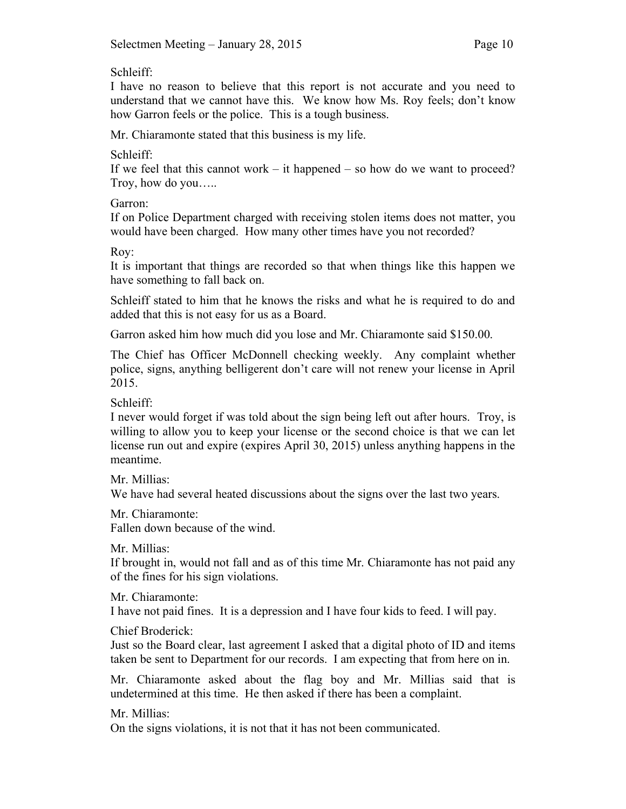Schleiff:

I have no reason to believe that this report is not accurate and you need to understand that we cannot have this. We know how Ms. Roy feels; don't know how Garron feels or the police. This is a tough business.

Mr. Chiaramonte stated that this business is my life.

Schleiff:

If we feel that this cannot work – it happened – so how do we want to proceed? Troy, how do you…..

Garron:

If on Police Department charged with receiving stolen items does not matter, you would have been charged. How many other times have you not recorded?

Roy:

It is important that things are recorded so that when things like this happen we have something to fall back on.

Schleiff stated to him that he knows the risks and what he is required to do and added that this is not easy for us as a Board.

Garron asked him how much did you lose and Mr. Chiaramonte said \$150.00.

The Chief has Officer McDonnell checking weekly. Any complaint whether police, signs, anything belligerent don't care will not renew your license in April 2015.

Schleiff:

I never would forget if was told about the sign being left out after hours. Troy, is willing to allow you to keep your license or the second choice is that we can let license run out and expire (expires April 30, 2015) unless anything happens in the meantime.

Mr. Millias<sup>.</sup>

We have had several heated discussions about the signs over the last two years.

Mr. Chiaramonte:

Fallen down because of the wind.

Mr. Millias<sup>.</sup>

If brought in, would not fall and as of this time Mr. Chiaramonte has not paid any of the fines for his sign violations.

Mr. Chiaramonte:

I have not paid fines. It is a depression and I have four kids to feed. I will pay.

Chief Broderick:

Just so the Board clear, last agreement I asked that a digital photo of ID and items taken be sent to Department for our records. I am expecting that from here on in.

Mr. Chiaramonte asked about the flag boy and Mr. Millias said that is undetermined at this time. He then asked if there has been a complaint.

Mr. Millias:

On the signs violations, it is not that it has not been communicated.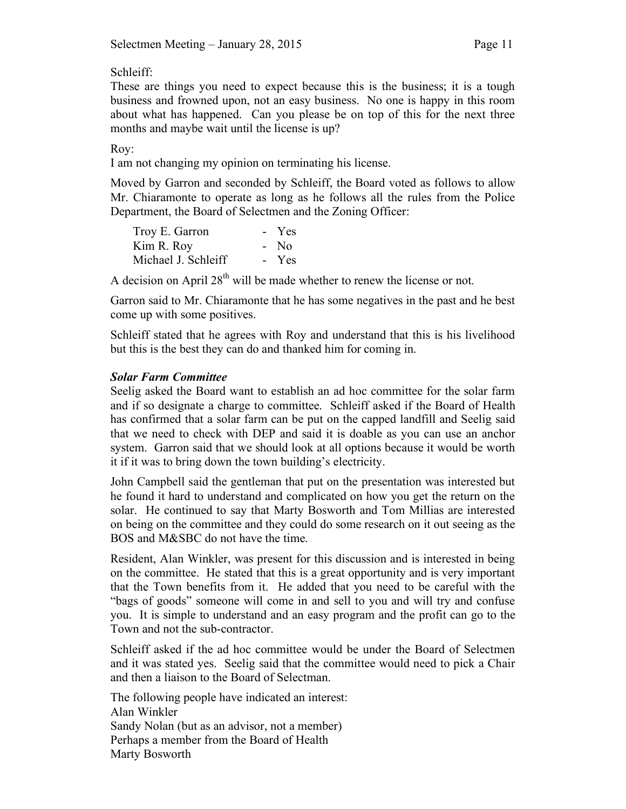Schleiff:

These are things you need to expect because this is the business; it is a tough business and frowned upon, not an easy business. No one is happy in this room about what has happened. Can you please be on top of this for the next three months and maybe wait until the license is up?

### Roy:

I am not changing my opinion on terminating his license.

Moved by Garron and seconded by Schleiff, the Board voted as follows to allow Mr. Chiaramonte to operate as long as he follows all the rules from the Police Department, the Board of Selectmen and the Zoning Officer:

| Troy E. Garron      | - Yes  |
|---------------------|--------|
| Kim R. Roy          | $-$ No |
| Michael J. Schleiff | - Yes  |

A decision on April  $28<sup>th</sup>$  will be made whether to renew the license or not.

Garron said to Mr. Chiaramonte that he has some negatives in the past and he best come up with some positives.

Schleiff stated that he agrees with Roy and understand that this is his livelihood but this is the best they can do and thanked him for coming in.

### *Solar Farm Committee*

Seelig asked the Board want to establish an ad hoc committee for the solar farm and if so designate a charge to committee. Schleiff asked if the Board of Health has confirmed that a solar farm can be put on the capped landfill and Seelig said that we need to check with DEP and said it is doable as you can use an anchor system. Garron said that we should look at all options because it would be worth it if it was to bring down the town building's electricity.

John Campbell said the gentleman that put on the presentation was interested but he found it hard to understand and complicated on how you get the return on the solar. He continued to say that Marty Bosworth and Tom Millias are interested on being on the committee and they could do some research on it out seeing as the BOS and M&SBC do not have the time.

Resident, Alan Winkler, was present for this discussion and is interested in being on the committee. He stated that this is a great opportunity and is very important that the Town benefits from it. He added that you need to be careful with the "bags of goods" someone will come in and sell to you and will try and confuse you. It is simple to understand and an easy program and the profit can go to the Town and not the sub-contractor.

Schleiff asked if the ad hoc committee would be under the Board of Selectmen and it was stated yes. Seelig said that the committee would need to pick a Chair and then a liaison to the Board of Selectman.

The following people have indicated an interest: Alan Winkler Sandy Nolan (but as an advisor, not a member) Perhaps a member from the Board of Health Marty Bosworth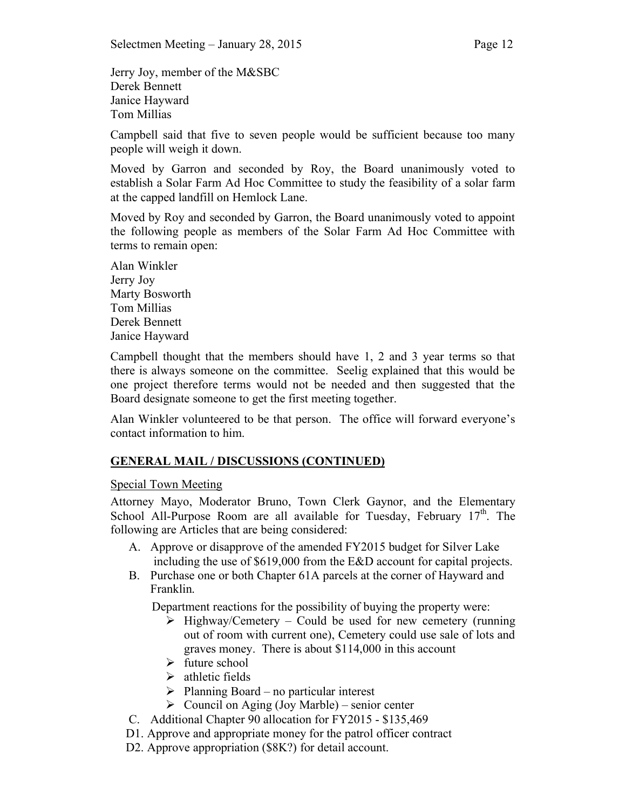Jerry Joy, member of the M&SBC Derek Bennett Janice Hayward Tom Millias

Campbell said that five to seven people would be sufficient because too many people will weigh it down.

Moved by Garron and seconded by Roy, the Board unanimously voted to establish a Solar Farm Ad Hoc Committee to study the feasibility of a solar farm at the capped landfill on Hemlock Lane.

Moved by Roy and seconded by Garron, the Board unanimously voted to appoint the following people as members of the Solar Farm Ad Hoc Committee with terms to remain open:

Alan Winkler Jerry Joy Marty Bosworth Tom Millias Derek Bennett Janice Hayward

Campbell thought that the members should have 1, 2 and 3 year terms so that there is always someone on the committee. Seelig explained that this would be one project therefore terms would not be needed and then suggested that the Board designate someone to get the first meeting together.

Alan Winkler volunteered to be that person. The office will forward everyone's contact information to him.

# **GENERAL MAIL / DISCUSSIONS (CONTINUED)**

### Special Town Meeting

Attorney Mayo, Moderator Bruno, Town Clerk Gaynor, and the Elementary School All-Purpose Room are all available for Tuesday, February  $17<sup>th</sup>$ . The following are Articles that are being considered:

- A. Approve or disapprove of the amended FY2015 budget for Silver Lake including the use of \$619,000 from the E&D account for capital projects.
- B. Purchase one or both Chapter 61A parcels at the corner of Hayward and Franklin.

Department reactions for the possibility of buying the property were:

- $\triangleright$  Highway/Cemetery Could be used for new cemetery (running out of room with current one), Cemetery could use sale of lots and graves money. There is about \$114,000 in this account
- $\triangleright$  future school
- $\triangleright$  athletic fields
- $\triangleright$  Planning Board no particular interest
- $\triangleright$  Council on Aging (Joy Marble) senior center
- C. Additional Chapter 90 allocation for FY2015 \$135,469
- D1. Approve and appropriate money for the patrol officer contract
- D2. Approve appropriation (\$8K?) for detail account.